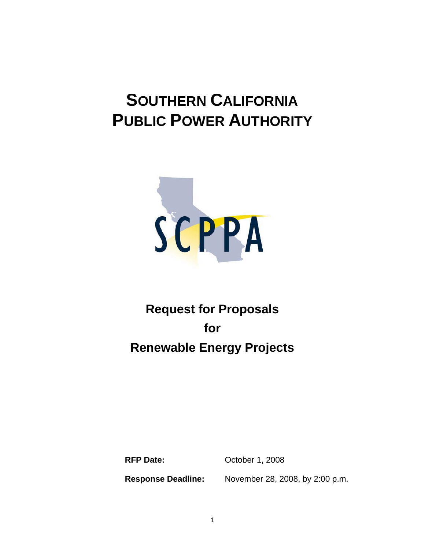# **SOUTHERN CALIFORNIA PUBLIC POWER AUTHORITY**



## **Request for Proposals for Renewable Energy Projects**

**RFP Date: October 1, 2008** 

**Response Deadline:** November 28, 2008, by 2:00 p.m.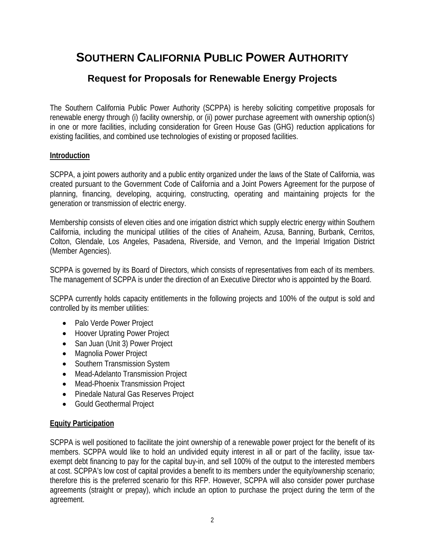### **SOUTHERN CALIFORNIA PUBLIC POWER AUTHORITY**

### **Request for Proposals for Renewable Energy Projects**

The Southern California Public Power Authority (SCPPA) is hereby soliciting competitive proposals for renewable energy through (i) facility ownership, or (ii) power purchase agreement with ownership option(s) in one or more facilities, including consideration for Green House Gas (GHG) reduction applications for existing facilities, and combined use technologies of existing or proposed facilities.

#### **Introduction**

SCPPA, a joint powers authority and a public entity organized under the laws of the State of California, was created pursuant to the Government Code of California and a Joint Powers Agreement for the purpose of planning, financing, developing, acquiring, constructing, operating and maintaining projects for the generation or transmission of electric energy.

Membership consists of eleven cities and one irrigation district which supply electric energy within Southern California, including the municipal utilities of the cities of Anaheim, Azusa, Banning, Burbank, Cerritos, Colton, Glendale, Los Angeles, Pasadena, Riverside, and Vernon, and the Imperial Irrigation District (Member Agencies).

SCPPA is governed by its Board of Directors, which consists of representatives from each of its members. The management of SCPPA is under the direction of an Executive Director who is appointed by the Board.

SCPPA currently holds capacity entitlements in the following projects and 100% of the output is sold and controlled by its member utilities:

- Palo Verde Power Project
- Hoover Uprating Power Project
- San Juan (Unit 3) Power Project
- Magnolia Power Project
- Southern Transmission System
- Mead-Adelanto Transmission Project
- Mead-Phoenix Transmission Project
- Pinedale Natural Gas Reserves Project
- Gould Geothermal Project

#### **Equity Participation**

SCPPA is well positioned to facilitate the joint ownership of a renewable power project for the benefit of its members. SCPPA would like to hold an undivided equity interest in all or part of the facility, issue taxexempt debt financing to pay for the capital buy-in, and sell 100% of the output to the interested members at cost. SCPPA's low cost of capital provides a benefit to its members under the equity/ownership scenario; therefore this is the preferred scenario for this RFP. However, SCPPA will also consider power purchase agreements (straight or prepay), which include an option to purchase the project during the term of the agreement.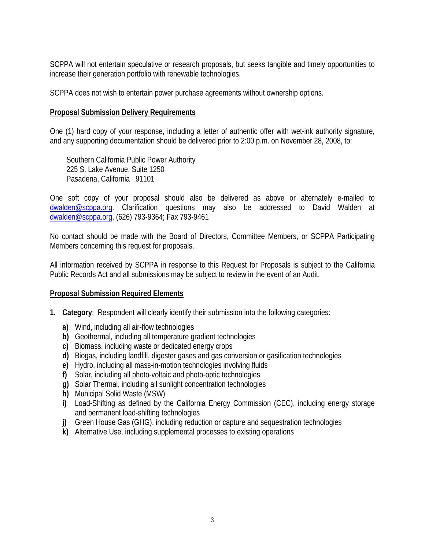SCPPA will not entertain speculative or research proposals, but seeks tangible and timely opportunities to increase their generation portfolio with renewable technologies.

SCPPA does not wish to entertain power purchase agreements without ownership options.

#### **Proposal Submission Delivery Requirements**

One (1) hard copy of your response, including a letter of authentic offer with wet-ink authority signature, and any supporting documentation should be delivered prior to 2:00 p.m. on November 28, 2008, to:

Southern California Public Power Authority 225 S. Lake Avenue, Suite 1250 Pasadena, California 91101

One soft copy of your proposal should also be delivered as above or alternately e-mailed to [dwalden@scppa.org.](mailto:dwalden@scppa.org) Clarification questions may also be addressed to David Walden at [dwalden@scppa.org,](mailto:dwalden@scppa.org) (626) 793-9364; Fax 793-9461

No contact should be made with the Board of Directors, Committee Members, or SCPPA Participating Members concerning this request for proposals.

All information received by SCPPA in response to this Request for Proposals is subject to the California Public Records Act and all submissions may be subject to review in the event of an Audit.

#### **Proposal Submission Required Elements**

- **1. Category**: Respondent will clearly identify their submission into the following categories:
	- **a)** Wind, including all air-flow technologies
	- **b)** Geothermal, including all temperature gradient technologies
	- **c)** Biomass, including waste or dedicated energy crops
	- **d)** Biogas, including landfill, digester gases and gas conversion or gasification technologies
	- **e)** Hydro, including all mass-in-motion technologies involving fluids
	- **f)** Solar, including all photo-voltaic and photo-optic technologies
	- **g)** Solar Thermal, including all sunlight concentration technologies
	- **h)** Municipal Solid Waste (MSW)
	- **i)** Load-Shifting as defined by the California Energy Commission (CEC), including energy storage and permanent load-shifting technologies
	- **j)** Green House Gas (GHG), including reduction or capture and sequestration technologies
	- **k)** Alternative Use, including supplemental processes to existing operations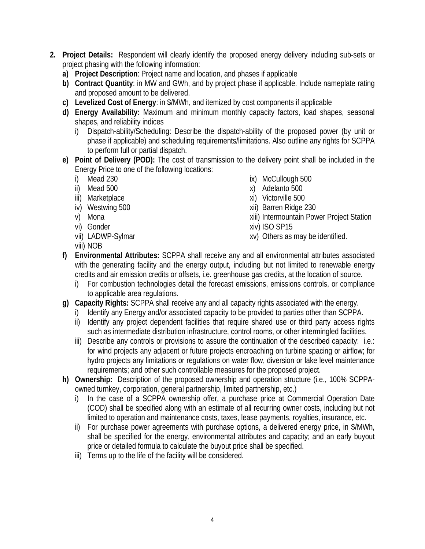- **2. Project Details:** Respondent will clearly identify the proposed energy delivery including sub-sets or project phasing with the following information:
	- **a) Project Description**: Project name and location, and phases if applicable
	- **b) Contract Quantity**: in MW and GWh, and by project phase if applicable. Include nameplate rating and proposed amount to be delivered.
	- **c) Levelized Cost of Energy**: in \$/MWh, and itemized by cost components if applicable
	- **d) Energy Availability:** Maximum and minimum monthly capacity factors, load shapes, seasonal shapes, and reliability indices
		- i) Dispatch-ability/Scheduling: Describe the dispatch-ability of the proposed power (by unit or phase if applicable) and scheduling requirements/limitations. Also outline any rights for SCPPA to perform full or partial dispatch.
	- **e) Point of Delivery (POD):** The cost of transmission to the delivery point shall be included in the Energy Price to one of the following locations:
		- i) Mead 230
		- ii) Mead 500
		- iii) Marketplace
		- iv) Westwing 500
		- v) Mona
		- vi) Gonder
		- vii) LADWP-Sylmar
		- viii) NOB
- ix) McCullough 500
- x) Adelanto 500
- xi) Victorville 500
- xii) Barren Ridge 230
- xiii) Intermountain Power Project Station xiv) ISO SP15
- 
- xv) Others as may be identified.
- **f) Environmental Attributes:** SCPPA shall receive any and all environmental attributes associated with the generating facility and the energy output, including but not limited to renewable energy credits and air emission credits or offsets, i.e. greenhouse gas credits, at the location of source.
	- i) For combustion technologies detail the forecast emissions, emissions controls, or compliance to applicable area regulations.
- **g) Capacity Rights:** SCPPA shall receive any and all capacity rights associated with the energy.
	- i) Identify any Energy and/or associated capacity to be provided to parties other than SCPPA.
	- ii) Identify any project dependent facilities that require shared use or third party access rights such as intermediate distribution infrastructure, control rooms, or other intermingled facilities.
	- iii) Describe any controls or provisions to assure the continuation of the described capacity: i.e.: for wind projects any adjacent or future projects encroaching on turbine spacing or airflow; for hydro projects any limitations or regulations on water flow, diversion or lake level maintenance requirements; and other such controllable measures for the proposed project.
- **h) Ownership:** Description of the proposed ownership and operation structure (i.e., 100% SCPPAowned turnkey, corporation, general partnership, limited partnership, etc.)
	- i) In the case of a SCPPA ownership offer, a purchase price at Commercial Operation Date (COD) shall be specified along with an estimate of all recurring owner costs, including but not limited to operation and maintenance costs, taxes, lease payments, royalties, insurance, etc.
	- ii) For purchase power agreements with purchase options, a delivered energy price, in \$/MWh, shall be specified for the energy, environmental attributes and capacity; and an early buyout price or detailed formula to calculate the buyout price shall be specified.
	- iii) Terms up to the life of the facility will be considered.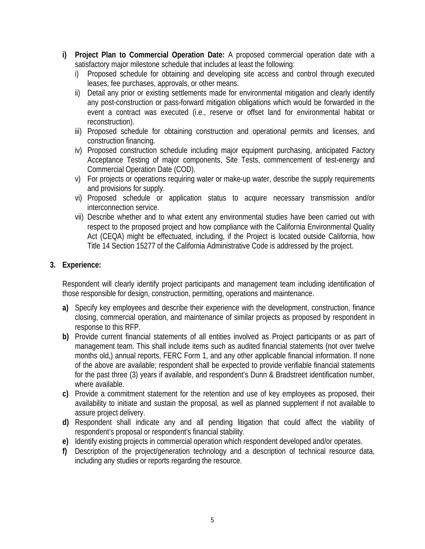- **i) Project Plan to Commercial Operation Date:** A proposed commercial operation date with a satisfactory major milestone schedule that includes at least the following:
	- i) Proposed schedule for obtaining and developing site access and control through executed leases, fee purchases, approvals, or other means.
	- ii) Detail any prior or existing settlements made for environmental mitigation and clearly identify any post-construction or pass-forward mitigation obligations which would be forwarded in the event a contract was executed (i.e., reserve or offset land for environmental habitat or reconstruction).
	- iii) Proposed schedule for obtaining construction and operational permits and licenses, and construction financing.
	- iv) Proposed construction schedule including major equipment purchasing, anticipated Factory Acceptance Testing of major components, Site Tests, commencement of test-energy and Commercial Operation Date (COD).
	- v) For projects or operations requiring water or make-up water, describe the supply requirements and provisions for supply.
	- vi) Proposed schedule or application status to acquire necessary transmission and/or interconnection service.
	- vii) Describe whether and to what extent any environmental studies have been carried out with respect to the proposed project and how compliance with the California Environmental Quality Act (CEQA) might be effectuated, including, if the Project is located outside California, how Title 14 Section 15277 of the California Administrative Code is addressed by the project.

#### **3. Experience:**

Respondent will clearly identify project participants and management team including identification of those responsible for design, construction, permitting, operations and maintenance.

- **a)** Specify key employees and describe their experience with the development, construction, finance closing, commercial operation, and maintenance of similar projects as proposed by respondent in response to this RFP.
- **b)** Provide current financial statements of all entities involved as Project participants or as part of management team. This shall include items such as audited financial statements (not over twelve months old,) annual reports, FERC Form 1, and any other applicable financial information. If none of the above are available; respondent shall be expected to provide verifiable financial statements for the past three (3) years if available, and respondent's Dunn & Bradstreet identification number, where available.
- **c)** Provide a commitment statement for the retention and use of key employees as proposed, their availability to initiate and sustain the proposal, as well as planned supplement if not available to assure project delivery.
- **d)** Respondent shall indicate any and all pending litigation that could affect the viability of respondent's proposal or respondent's financial stability.
- **e)** Identify existing projects in commercial operation which respondent developed and/or operates.
- **f)** Description of the project/generation technology and a description of technical resource data, including any studies or reports regarding the resource.